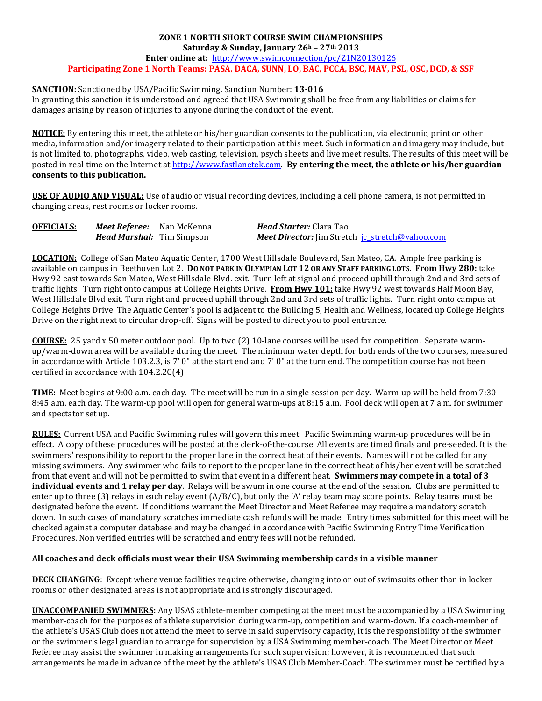### **ZONE 1 NORTH SHORT COURSE SWIM CHAMPIONSHIPS Saturday & Sunday, January 26h – 27th 2013 Enter online at:** [http://www.swimconnection/pc/Z1N20130126](http://ome.swimconnection/pc/Z1N20130126) **Participating Zone 1 North Teams: PASA, DACA, SUNN, LO, BAC, PCCA, BSC, MAV, PSL, OSC, DCD, & SSF**

### **SANCTION:** Sanctioned by USA/Pacific Swimming. Sanction Number: **13-016**

In granting this sanction it is understood and agreed that USA Swimming shall be free from any liabilities or claims for damages arising by reason of injuries to anyone during the conduct of the event.

**NOTICE:** By entering this meet, the athlete or his/her guardian consents to the publication, via electronic, print or other media, information and/or imagery related to their participation at this meet. Such information and imagery may include, but is not limited to, photographs, video, web casting, television, psych sheets and live meet results. The results of this meet will be posted in real time on the Internet at [http://www.fastlanetek.com.](http://www.fastlanetek.com/) **By entering the meet, the athlete or his/her guardian consents to this publication.**

**USE OF AUDIO AND VISUAL:** Use of audio or visual recording devices, including a cell phone camera, is not permitted in changing areas, rest rooms or locker rooms.

| <b>OFFICIALS:</b> | Meet Referee: Nan McKenna        | <b>Head Starter:</b> Clara Tao                  |  |  |
|-------------------|----------------------------------|-------------------------------------------------|--|--|
|                   | <b>Head Marshal:</b> Tim Simpson | Meet Director: Jim Stretch jc stretch@yahoo.com |  |  |

**LOCATION:** College of San Mateo Aquatic Center, 1700 West Hillsdale Boulevard, San Mateo, CA. Ample free parking is available on campus in Beethoven Lot 2. **DO NOT PARK IN OLYMPIAN LOT 12 OR ANY STAFF PARKING LOTS. From Hwy 280:** take Hwy 92 east towards San Mateo, West Hillsdale Blvd. exit. Turn left at signal and proceed uphill through 2nd and 3rd sets of traffic lights. Turn right onto campus at College Heights Drive. **From Hwy 101:** take Hwy 92 west towards Half Moon Bay, West Hillsdale Blvd exit. Turn right and proceed uphill through 2nd and 3rd sets of traffic lights. Turn right onto campus at College Heights Drive. The Aquatic Center's pool is adjacent to the Building 5, Health and Wellness, located up College Heights Drive on the right next to circular drop-off. Signs will be posted to direct you to pool entrance.

**COURSE:** 25 yard x 50 meter outdoor pool. Up to two (2) 10-lane courses will be used for competition. Separate warmup/warm-down area will be available during the meet. The minimum water depth for both ends of the two courses, measured in accordance with Article 103.2.3, is 7' 0" at the start end and 7' 0" at the turn end. The competition course has not been certified in accordance with 104.2.2C(4)

**TIME:** Meet begins at 9:00 a.m. each day. The meet will be run in a single session per day. Warm-up will be held from 7:30- 8:45 a.m. each day. The warm-up pool will open for general warm-ups at 8:15 a.m. Pool deck will open at 7 a.m. for swimmer and spectator set up.

**RULES:** Current USA and Pacific Swimming rules will govern this meet. Pacific Swimming warm-up procedures will be in effect. A copy of these procedures will be posted at the clerk-of-the-course. All events are timed finals and pre-seeded. It is the swimmers' responsibility to report to the proper lane in the correct heat of their events. Names will not be called for any missing swimmers. Any swimmer who fails to report to the proper lane in the correct heat of his/her event will be scratched from that event and will not be permitted to swim that event in a different heat. **Swimmers may compete in a total of 3 individual events and 1 relay per day**. Relays will be swum in one course at the end of the session. Clubs are permitted to enter up to three (3) relays in each relay event (A/B/C), but only the 'A' relay team may score points. Relay teams must be designated before the event. If conditions warrant the Meet Director and Meet Referee may require a mandatory scratch down. In such cases of mandatory scratches immediate cash refunds will be made. Entry times submitted for this meet will be checked against a computer database and may be changed in accordance with Pacific Swimming Entry Time Verification Procedures. Non verified entries will be scratched and entry fees will not be refunded.

# **All coaches and deck officials must wear their USA Swimming membership cards in a visible manner**

**DECK CHANGING**: Except where venue facilities require otherwise, changing into or out of swimsuits other than in locker rooms or other designated areas is not appropriate and is strongly discouraged.

**UNACCOMPANIED SWIMMERS:** Any USAS athlete-member competing at the meet must be accompanied by a USA Swimming member-coach for the purposes of athlete supervision during warm-up, competition and warm-down. If a coach-member of the athlete's USAS Club does not attend the meet to serve in said supervisory capacity, it is the responsibility of the swimmer or the swimmer's legal guardian to arrange for supervision by a USA Swimming member-coach. The Meet Director or Meet Referee may assist the swimmer in making arrangements for such supervision; however, it is recommended that such arrangements be made in advance of the meet by the athlete's USAS Club Member-Coach. The swimmer must be certified by a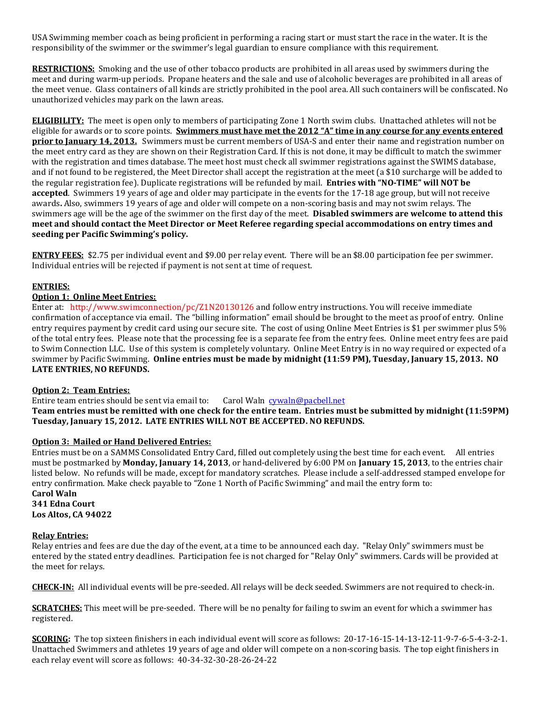USA Swimming member coach as being proficient in performing a racing start or must start the race in the water. It is the responsibility of the swimmer or the swimmer's legal guardian to ensure compliance with this requirement.

**RESTRICTIONS:** Smoking and the use of other tobacco products are prohibited in all areas used by swimmers during the meet and during warm-up periods. Propane heaters and the sale and use of alcoholic beverages are prohibited in all areas of the meet venue. Glass containers of all kinds are strictly prohibited in the pool area. All such containers will be confiscated. No unauthorized vehicles may park on the lawn areas.

**ELIGIBILITY:** The meet is open only to members of participating Zone 1 North swim clubs. Unattached athletes will not be eligible for awards or to score points. **Swimmers must have met the 2012 "A" time in any course for any events entered prior to January 14, 2013.** Swimmers must be current members of USA-S and enter their name and registration number on the meet entry card as they are shown on their Registration Card. If this is not done, it may be difficult to match the swimmer with the registration and times database. The meet host must check all swimmer registrations against the SWIMS database, and if not found to be registered, the Meet Director shall accept the registration at the meet (a \$10 surcharge will be added to the regular registration fee). Duplicate registrations will be refunded by mail. **Entries with "NO-TIME" will NOT be accepted**. Swimmers 19 years of age and older may participate in the events for the 17-18 age group, but will not receive awards**.** Also, swimmers 19 years of age and older will compete on a non-scoring basis and may not swim relays. The swimmers age will be the age of the swimmer on the first day of the meet. **Disabled swimmers are welcome to attend this meet and should contact the Meet Director or Meet Referee regarding special accommodations on entry times and seeding per Pacific Swimming's policy.**

**ENTRY FEES:** \$2.75 per individual event and \$9.00 per relay event. There will be an \$8.00 participation fee per swimmer. Individual entries will be rejected if payment is not sent at time of request.

### **ENTRIES:**

# **Option 1: Online Meet Entries:**

Enter at: http://www.swimconnection/pc/Z1N20130126 and follow entry instructions. You will receive immediate confirmation of acceptance via email. The "billing information" email should be brought to the meet as proof of entry. Online entry requires payment by credit card using our secure site. The cost of using Online Meet Entries is \$1 per swimmer plus 5% of the total entry fees. Please note that the processing fee is a separate fee from the entry fees. Online meet entry fees are paid to Swim Connection LLC. Use of this system is completely voluntary. Online Meet Entry is in no way required or expected of a swimmer by Pacific Swimming. **Online entries must be made by midnight (11:59 PM), Tuesday, January 15, 2013. NO LATE ENTRIES, NO REFUNDS.**

#### **Option 2: Team Entries:**

Entire team entries should be sent via email to: Carol Waln [cywaln@pacbell.net](mailto:cywaln@pacbell.net) **Team entries must be remitted with one check for the entire team. Entries must be submitted by midnight (11:59PM) Tuesday, January 15, 2012. LATE ENTRIES WILL NOT BE ACCEPTED. NO REFUNDS.**

#### **Option 3: Mailed or Hand Delivered Entries:**

Entries must be on a SAMMS Consolidated Entry Card, filled out completely using the best time for each event. All entries must be postmarked by **Monday, January 14, 2013**, or hand-delivered by 6:00 PM on **January 15, 2013**, to the entries chair listed below. No refunds will be made, except for mandatory scratches. Please include a self-addressed stamped envelope for entry confirmation. Make check payable to "Zone 1 North of Pacific Swimming" and mail the entry form to: **Carol Waln**

**341 Edna Court Los Altos, CA 94022**

# **Relay Entries:**

Relay entries and fees are due the day of the event, at a time to be announced each day. "Relay Only" swimmers must be entered by the stated entry deadlines. Participation fee is not charged for "Relay Only" swimmers. Cards will be provided at the meet for relays.

**CHECK-IN:** All individual events will be pre-seeded. All relays will be deck seeded. Swimmers are not required to check-in.

**SCRATCHES:** This meet will be pre-seeded. There will be no penalty for failing to swim an event for which a swimmer has registered.

**SCORING:** The top sixteen finishers in each individual event will score as follows: 20-17-16-15-14-13-12-11-9-7-6-5-4-3-2-1. Unattached Swimmers and athletes 19 years of age and older will compete on a non-scoring basis. The top eight finishers in each relay event will score as follows: 40-34-32-30-28-26-24-22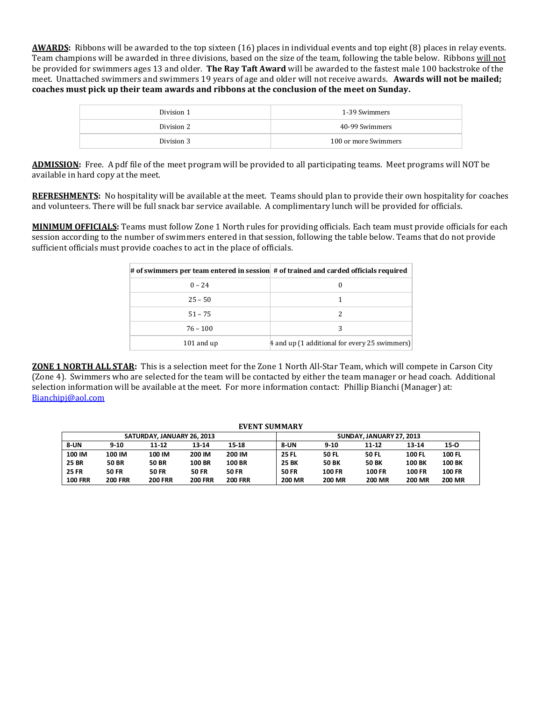**AWARDS:** Ribbons will be awarded to the top sixteen (16) places in individual events and top eight (8) places in relay events. Team champions will be awarded in three divisions, based on the size of the team, following the table below. Ribbons will not be provided for swimmers ages 13 and older. **The Ray Taft Award** will be awarded to the fastest male 100 backstroke of the meet. Unattached swimmers and swimmers 19 years of age and older will not receive awards. **Awards will not be mailed; coaches must pick up their team awards and ribbons at the conclusion of the meet on Sunday.** 

| Division 1 | 1-39 Swimmers                          |  |  |  |
|------------|----------------------------------------|--|--|--|
| Division 2 | 40-99 Swimmers<br>100 or more Swimmers |  |  |  |
| Division 3 |                                        |  |  |  |

**ADMISSION:** Free. A pdf file of the meet program will be provided to all participating teams. Meet programs will NOT be available in hard copy at the meet.

**REFRESHMENTS:** No hospitality will be available at the meet. Teams should plan to provide their own hospitality for coaches and volunteers. There will be full snack bar service available. A complimentary lunch will be provided for officials.

**MINIMUM OFFICIALS:** Teams must follow Zone 1 North rules for providing officials. Each team must provide officials for each session according to the number of swimmers entered in that session, following the table below. Teams that do not provide sufficient officials must provide coaches to act in the place of officials.

| # of swimmers per team entered in session # of trained and carded officials required |                                               |
|--------------------------------------------------------------------------------------|-----------------------------------------------|
| $0 - 24$                                                                             |                                               |
| $25 - 50$                                                                            |                                               |
| $51 - 75$                                                                            |                                               |
| $76 - 100$                                                                           |                                               |
| $101$ and up                                                                         | 4 and up (1 additional for every 25 swimmers) |

**ZONE 1 NORTH ALL STAR:** This is a selection meet for the Zone 1 North All-Star Team, which will compete in Carson City (Zone 4). Swimmers who are selected for the team will be contacted by either the team manager or head coach. Additional selection information will be available at the meet. For more information contact: Phillip Bianchi (Manager) at: [Bianchipj@aol.com](mailto:Bianchipj@aol.com)

| EVERT JURILANI             |                |                |                |                |                          |               |               |               |               |
|----------------------------|----------------|----------------|----------------|----------------|--------------------------|---------------|---------------|---------------|---------------|
| SATURDAY, JANUARY 26, 2013 |                |                |                |                | SUNDAY, JANUARY 27, 2013 |               |               |               |               |
| <b>8-UN</b>                | $9 - 10$       | 11-12          | 13-14          | 15-18          | <b>8-UN</b>              | $9 - 10$      | 11-12         | $13 - 14$     | $15-0$        |
| 100 IM                     | 100 IM         | 100 IM         | 200 IM         | 200 IM         | <b>25 FL</b>             | <b>50 FL</b>  | <b>50 FL</b>  | <b>100 FL</b> | <b>100 FL</b> |
| <b>25 BR</b>               | <b>50 BR</b>   | <b>50 BR</b>   | <b>100 BR</b>  | 100 BR         | <b>25 BK</b>             | <b>50 BK</b>  | <b>50 BK</b>  | <b>100 BK</b> | <b>100 BK</b> |
| <b>25 FR</b>               | <b>50 FR</b>   | <b>50 FR</b>   | <b>50 FR</b>   | <b>50 FR</b>   | <b>50 FR</b>             | <b>100 FR</b> | <b>100 FR</b> | <b>100 FR</b> | <b>100 FR</b> |
| <b>100 FRR</b>             | <b>200 FRR</b> | <b>200 FRR</b> | <b>200 FRR</b> | <b>200 FRR</b> | <b>200 MR</b>            | <b>200 MR</b> | <b>200 MR</b> | <b>200 MR</b> | <b>200 MR</b> |

#### **EVENT SUMMARY**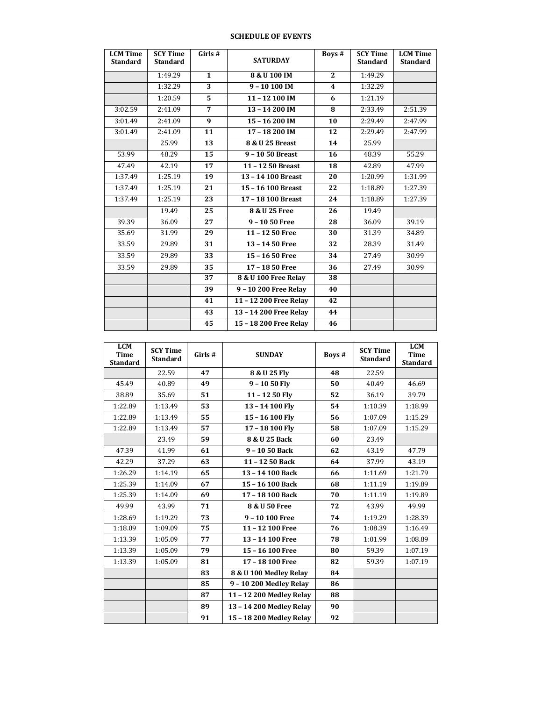#### **SCHEDULE OF EVENTS**

| <b>LCM Time</b><br><b>Standard</b> | <b>SCY Time</b><br><b>Standard</b> | Girls#       | <b>SATURDAY</b>        | Boys #                  | <b>SCY Time</b><br><b>Standard</b> | <b>LCM</b> Time<br><b>Standard</b> |
|------------------------------------|------------------------------------|--------------|------------------------|-------------------------|------------------------------------|------------------------------------|
|                                    | 1:49.29                            | $\mathbf{1}$ | 8 & U 100 IM           | $\mathbf{2}$            | 1:49.29                            |                                    |
|                                    | 1:32.29                            | 3            | $9 - 10100$ IM         | $\overline{\mathbf{4}}$ | 1:32.29                            |                                    |
|                                    | 1:20.59                            | 5            | 11-12 100 IM           | 6                       | 1:21.19                            |                                    |
| 3:02.59                            | 2:41.09                            | 7            | 13-14200 IM            | 8                       | 2:33.49                            | 2:51.39                            |
| 3:01.49                            | 2:41.09                            | 9            | 15-16200 IM            | 10                      | 2:29.49                            | 2:47.99                            |
| 3:01.49                            | 2:41.09                            | 11           | 17-18200 IM            | 12                      | 2:29.49                            | 2:47.99                            |
|                                    | 25.99                              | 13           | 8 & U 25 Breast        | 14                      | 25.99                              |                                    |
| 53.99                              | 48.29                              | 15           | 9 - 10 50 Breast       | 16                      | 48.39                              | 55.29                              |
| 47.49                              | 42.19                              | 17           | 11-12 50 Breast        | 18                      | 42.89                              | 47.99                              |
| 1:37.49                            | 1:25.19                            | 19           | 13 - 14 100 Breast     | 20                      | 1:20.99                            | 1:31.99                            |
| 1:37.49                            | 1:25.19                            | 21           | 15 - 16 100 Breast     | 22                      | 1:18.89                            | 1:27.39                            |
| 1:37.49                            | 1:25.19                            | 23           | 17-18 100 Breast       | 24                      | 1:18.89                            | 1:27.39                            |
|                                    | 19.49                              | 25           | 8 & U 25 Free          | 26                      | 19.49                              |                                    |
| 39.39                              | 36.09                              | 27           | $9 - 1050$ Free        | 28                      | 36.09                              | 39.19                              |
| 35.69                              | 31.99                              | 29           | 11-1250 Free           | 30                      | 31.39                              | 34.89                              |
| 33.59                              | 29.89                              | 31           | 13-1450 Free           | 32                      | 28.39                              | 31.49                              |
| 33.59                              | 29.89                              | 33           | 15 - 16 50 Free        | 34                      | 27.49                              | 30.99                              |
| 33.59                              | 29.89                              | 35           | 17 - 18 50 Free        | 36                      | 27.49                              | 30.99                              |
|                                    |                                    | 37           | 8 & U 100 Free Relay   | 38                      |                                    |                                    |
|                                    |                                    | 39           | 9 - 10 200 Free Relay  | 40                      |                                    |                                    |
|                                    |                                    | 41           | 11 - 12 200 Free Relay | 42                      |                                    |                                    |
|                                    |                                    | 43           | 13 - 14 200 Free Relay | 44                      |                                    |                                    |
|                                    |                                    | 45           | 15 - 18 200 Free Relay | 46                      |                                    |                                    |

| <b>LCM</b><br><b>Time</b><br><b>Standard</b> | <b>SCY Time</b><br><b>Standard</b> | Girls # | <b>SUNDAY</b>            | Boys # | <b>SCY Time</b><br><b>Standard</b> | <b>LCM</b><br><b>Time</b><br><b>Standard</b> |
|----------------------------------------------|------------------------------------|---------|--------------------------|--------|------------------------------------|----------------------------------------------|
|                                              | 22.59                              | 47      | 8 & U 25 Fly             | 48     | 22.59                              |                                              |
| 45.49                                        | 40.89                              | 49      | $9 - 1050$ Fly           | 50     | 40.49                              | 46.69                                        |
| 38.89                                        | 35.69                              | 51      | $11 - 1250$ Fly          | 52     | 36.19                              | 39.79                                        |
| 1:22.89                                      | 1:13.49                            | 53      | 13-14 100 Flv            | 54     | 1:10.39                            | 1:18.99                                      |
| 1:22.89                                      | 1:13.49                            | 55      | 15 - 16 100 Flv          | 56     | 1:07.09                            | 1:15.29                                      |
| 1:22.89                                      | 1:13.49                            | 57      | 17 - 18 100 Flv          | 58     | 1:07.09                            | 1:15.29                                      |
|                                              | 23.49                              | 59      | 8 & U 25 Back            | 60     | 23.49                              |                                              |
| 47.39                                        | 41.99                              | 61      | 9 - 10 50 Back           | 62     | 43.19                              | 47.79                                        |
| 42.29                                        | 37.29                              | 63      | 11-12 50 Back            | 64     | 37.99                              | 43.19                                        |
| 1:26.29                                      | 1:14.19                            | 65      | 13-14 100 Back           | 66     | 1:11.69                            | 1:21.79                                      |
| 1:25.39                                      | 1:14.09                            | 67      | 15-16 100 Back           | 68     | 1:11.19                            | 1:19.89                                      |
| 1:25.39                                      | 1:14.09                            | 69      | 17 - 18 100 Back         | 70     | 1:11.19                            | 1:19.89                                      |
| 49.99                                        | 43.99                              | 71      | 8 & U 50 Free            | 72     | 43.99                              | 49.99                                        |
| 1:28.69                                      | 1:19.29                            | 73      | 9 - 10 100 Free          | 74     | 1:19.29                            | 1:28.39                                      |
| 1:18.09                                      | 1:09.09                            | 75      | 11-12 100 Free           | 76     | 1:08.39                            | 1:16.49                                      |
| 1:13.39                                      | 1:05.09                            | 77      | 13 - 14 100 Free         | 78     | 1:01.99                            | 1:08.89                                      |
| 1:13.39                                      | 1:05.09                            | 79      | 15 - 16 100 Free         | 80     | 59.39                              | 1:07.19                                      |
| 1:13.39                                      | 1:05.09                            | 81      | 17 - 18 100 Free         | 82     | 59.39                              | 1:07.19                                      |
|                                              |                                    | 83      | 8 & U 100 Medley Relay   | 84     |                                    |                                              |
|                                              |                                    | 85      | 9 - 10 200 Medley Relay  | 86     |                                    |                                              |
|                                              |                                    | 87      | 11-12 200 Medley Relay   | 88     |                                    |                                              |
|                                              |                                    | 89      | 13 - 14 200 Medley Relay | 90     |                                    |                                              |
|                                              |                                    | 91      | 15 - 18 200 Medley Relay | 92     |                                    |                                              |